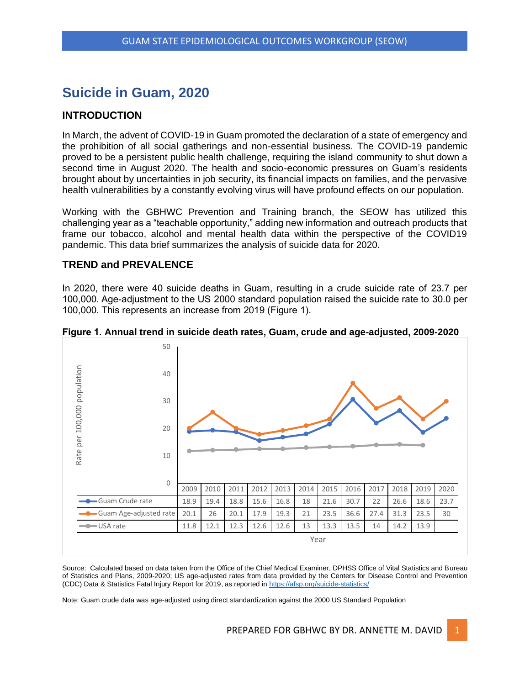# **Suicide in Guam, 2020**

# **INTRODUCTION**

In March, the advent of COVID-19 in Guam promoted the declaration of a state of emergency and the prohibition of all social gatherings and non-essential business. The COVID-19 pandemic proved to be a persistent public health challenge, requiring the island community to shut down a second time in August 2020. The health and socio-economic pressures on Guam's residents brought about by uncertainties in job security, its financial impacts on families, and the pervasive health vulnerabilities by a constantly evolving virus will have profound effects on our population.

Working with the GBHWC Prevention and Training branch, the SEOW has utilized this challenging year as a "teachable opportunity," adding new information and outreach products that frame our tobacco, alcohol and mental health data within the perspective of the COVID19 pandemic. This data brief summarizes the analysis of suicide data for 2020.

# **TREND and PREVALENCE**

In 2020, there were 40 suicide deaths in Guam, resulting in a crude suicide rate of 23.7 per 100,000. Age-adjustment to the US 2000 standard population raised the suicide rate to 30.0 per 100,000. This represents an increase from 2019 (Figure 1).



**Figure 1. Annual trend in suicide death rates, Guam, crude and age-adjusted, 2009-2020**

Source: Calculated based on data taken from the Office of the Chief Medical Examiner, DPHSS Office of Vital Statistics and Bureau of Statistics and Plans, 2009-2020; US age-adjusted rates from data provided by the Centers for Disease Control and Prevention (CDC) Data & Statistics Fatal Injury Report for 2019, as reported in<https://afsp.org/suicide-statistics/>

Note: Guam crude data was age-adjusted using direct standardization against the 2000 US Standard Population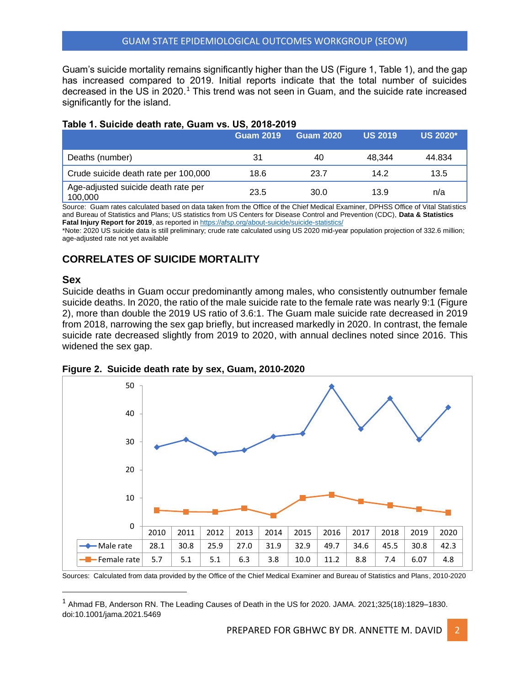Guam's suicide mortality remains significantly higher than the US (Figure 1, Table 1), and the gap has increased compared to 2019. Initial reports indicate that the total number of suicides decreased in the US in 2020.<sup>1</sup> This trend was not seen in Guam, and the suicide rate increased significantly for the island.

### **Table 1. Suicide death rate, Guam vs. US, 2018-2019**

|                                                | Guam 2019 <sup>1</sup> | <b>Guam 2020</b> | <b>US 2019</b> | <b>US 2020*</b> |
|------------------------------------------------|------------------------|------------------|----------------|-----------------|
| Deaths (number)                                | 31                     | 40               | 48.344         | 44.834          |
| Crude suicide death rate per 100,000           | 18.6                   | 23.7             | 14.2           | 13.5            |
| Age-adjusted suicide death rate per<br>100,000 | 23.5                   | 30.0             | 13.9           | n/a             |

Source: Guam rates calculated based on data taken from the Office of the Chief Medical Examiner, DPHSS Office of Vital Statistics and Bureau of Statistics and Plans; US statistics from US Centers for Disease Control and Prevention (CDC), **Data & Statistics**  Fatal Injury Report for 2019, as reported i[n https://afsp.org/about-suicide/suicide-statistics/](https://afsp.org/about-suicide/suicide-statistics/)

\*Note: 2020 US suicide data is still preliminary; crude rate calculated using US 2020 mid-year population projection of 332.6 million; age-adjusted rate not yet available

# **CORRELATES OF SUICIDE MORTALITY**

### **Sex**

Suicide deaths in Guam occur predominantly among males, who consistently outnumber female suicide deaths. In 2020, the ratio of the male suicide rate to the female rate was nearly 9:1 (Figure 2), more than double the 2019 US ratio of 3.6:1. The Guam male suicide rate decreased in 2019 from 2018, narrowing the sex gap briefly, but increased markedly in 2020. In contrast, the female suicide rate decreased slightly from 2019 to 2020, with annual declines noted since 2016. This widened the sex gap.



**Figure 2. Suicide death rate by sex, Guam, 2010-2020**

Sources: Calculated from data provided by the Office of the Chief Medical Examiner and Bureau of Statistics and Plans, 2010-2020

<sup>1</sup> Ahmad FB, Anderson RN. The Leading Causes of Death in the US for 2020. JAMA. 2021;325(18):1829–1830. doi:10.1001/jama.2021.5469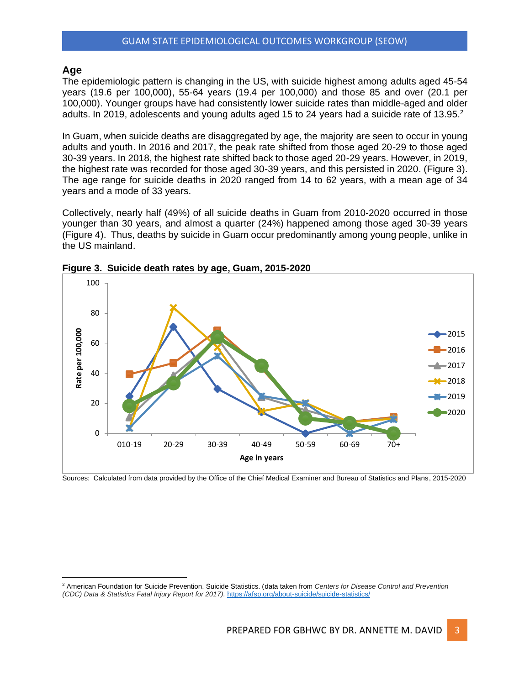# **Age**

The epidemiologic pattern is changing in the US, with suicide highest among adults aged 45-54 years (19.6 per 100,000), 55-64 years (19.4 per 100,000) and those 85 and over (20.1 per 100,000). Younger groups have had consistently lower suicide rates than middle-aged and older adults. In 2019, adolescents and young adults aged 15 to 24 years had a suicide rate of 13.95.<sup>2</sup>

In Guam, when suicide deaths are disaggregated by age, the majority are seen to occur in young adults and youth. In 2016 and 2017, the peak rate shifted from those aged 20-29 to those aged 30-39 years. In 2018, the highest rate shifted back to those aged 20-29 years. However, in 2019, the highest rate was recorded for those aged 30-39 years, and this persisted in 2020. (Figure 3). The age range for suicide deaths in 2020 ranged from 14 to 62 years, with a mean age of 34 years and a mode of 33 years.

Collectively, nearly half (49%) of all suicide deaths in Guam from 2010-2020 occurred in those younger than 30 years, and almost a quarter (24%) happened among those aged 30-39 years (Figure 4). Thus, deaths by suicide in Guam occur predominantly among young people, unlike in the US mainland.



**Figure 3. Suicide death rates by age, Guam, 2015-2020**

Sources: Calculated from data provided by the Office of the Chief Medical Examiner and Bureau of Statistics and Plans, 2015-2020

<sup>2</sup> American Foundation for Suicide Prevention. Suicide Statistics. (data taken from *Centers for Disease Control and Prevention (CDC) Data & Statistics Fatal Injury Report for 2017).* <https://afsp.org/about-suicide/suicide-statistics/>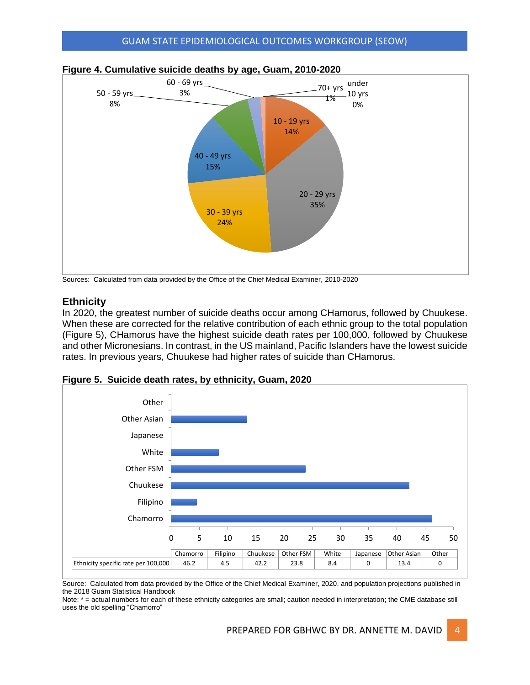

# **Figure 4. Cumulative suicide deaths by age, Guam, 2010-2020**

Sources: Calculated from data provided by the Office of the Chief Medical Examiner, 2010-2020

# **Ethnicity**

In 2020, the greatest number of suicide deaths occur among CHamorus, followed by Chuukese. When these are corrected for the relative contribution of each ethnic group to the total population (Figure 5), CHamorus have the highest suicide death rates per 100,000, followed by Chuukese and other Micronesians. In contrast, in the US mainland, Pacific Islanders have the lowest suicide rates. In previous years, Chuukese had higher rates of suicide than CHamorus.



**Figure 5. Suicide death rates, by ethnicity, Guam, 2020**

Source: Calculated from data provided by the Office of the Chief Medical Examiner, 2020, and population projections published in the 2018 Guam Statistical Handbook

Note: \* = actual numbers for each of these ethnicity categories are small; caution needed in interpretation; the CME database still uses the old spelling "Chamorro"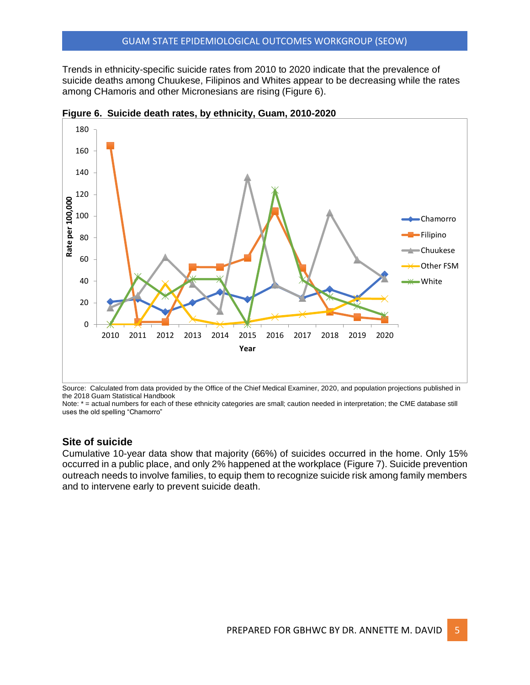Trends in ethnicity-specific suicide rates from 2010 to 2020 indicate that the prevalence of suicide deaths among Chuukese, Filipinos and Whites appear to be decreasing while the rates among CHamoris and other Micronesians are rising (Figure 6).



**Figure 6. Suicide death rates, by ethnicity, Guam, 2010-2020**

Source: Calculated from data provided by the Office of the Chief Medical Examiner, 2020, and population projections published in the 2018 Guam Statistical Handbook

Note: \* = actual numbers for each of these ethnicity categories are small; caution needed in interpretation; the CME database still uses the old spelling "Chamorro"

# **Site of suicide**

Cumulative 10-year data show that majority (66%) of suicides occurred in the home. Only 15% occurred in a public place, and only 2% happened at the workplace (Figure 7). Suicide prevention outreach needs to involve families, to equip them to recognize suicide risk among family members and to intervene early to prevent suicide death.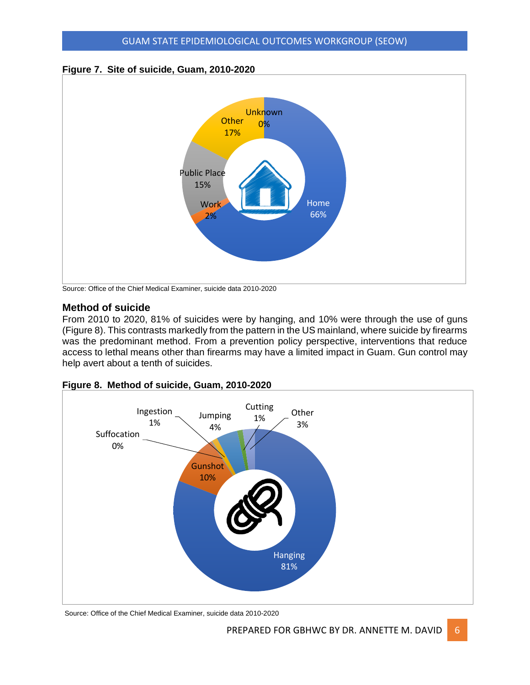



Source: Office of the Chief Medical Examiner, suicide data 2010-2020

# **Method of suicide**

From 2010 to 2020, 81% of suicides were by hanging, and 10% were through the use of guns (Figure 8). This contrasts markedly from the pattern in the US mainland, where suicide by firearms was the predominant method. From a prevention policy perspective, interventions that reduce access to lethal means other than firearms may have a limited impact in Guam. Gun control may help avert about a tenth of suicides.



**Figure 8. Method of suicide, Guam, 2010-2020**

Source: Office of the Chief Medical Examiner, suicide data 2010-2020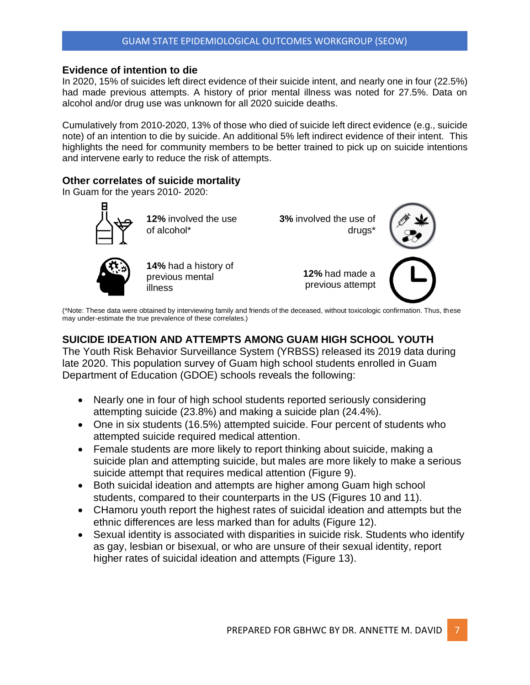# **Evidence of intention to die**

In 2020, 15% of suicides left direct evidence of their suicide intent, and nearly one in four (22.5%) had made previous attempts. A history of prior mental illness was noted for 27.5%. Data on alcohol and/or drug use was unknown for all 2020 suicide deaths.

Cumulatively from 2010-2020, 13% of those who died of suicide left direct evidence (e.g., suicide note) of an intention to die by suicide. An additional 5% left indirect evidence of their intent. This highlights the need for community members to be better trained to pick up on suicide intentions and intervene early to reduce the risk of attempts.

# **Other correlates of suicide mortality**

illness

In Guam for the years 2010- 2020:



**12%** involved the use of alcohol\*

**14%** had a history of previous mental

**3%** involved the use of drugs\*

> **12%** had made a previous attempt



(\*Note: These data were obtained by interviewing family and friends of the deceased, without toxicologic confirmation. Thus, these may under-estimate the true prevalence of these correlates.)

# **SUICIDE IDEATION AND ATTEMPTS AMONG GUAM HIGH SCHOOL YOUTH**

The Youth Risk Behavior Surveillance System (YRBSS) released its 2019 data during late 2020. This population survey of Guam high school students enrolled in Guam Department of Education (GDOE) schools reveals the following:

- Nearly one in four of high school students reported seriously considering attempting suicide (23.8%) and making a suicide plan (24.4%).
- One in six students (16.5%) attempted suicide. Four percent of students who attempted suicide required medical attention.
- Female students are more likely to report thinking about suicide, making a suicide plan and attempting suicide, but males are more likely to make a serious suicide attempt that requires medical attention (Figure 9).
- Both suicidal ideation and attempts are higher among Guam high school students, compared to their counterparts in the US (Figures 10 and 11).
- CHamoru youth report the highest rates of suicidal ideation and attempts but the ethnic differences are less marked than for adults (Figure 12).
- Sexual identity is associated with disparities in suicide risk. Students who identify as gay, lesbian or bisexual, or who are unsure of their sexual identity, report higher rates of suicidal ideation and attempts (Figure 13).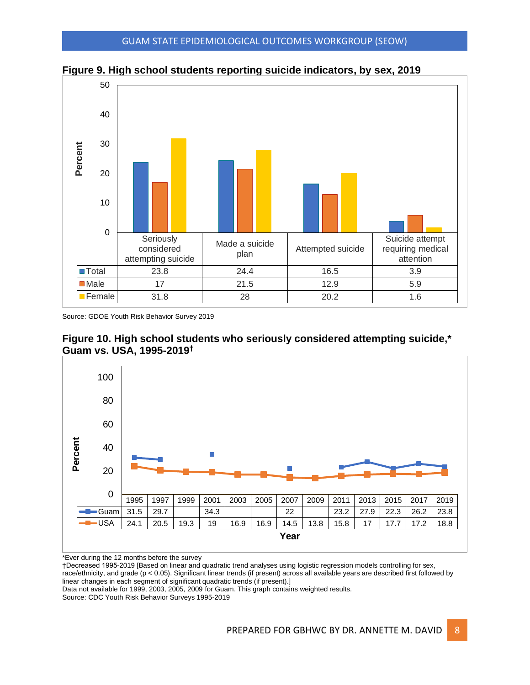



Source: GDOE Youth Risk Behavior Survey 2019





\*Ever during the 12 months before the survey

†Decreased 1995-2019 [Based on linear and quadratic trend analyses using logistic regression models controlling for sex, race/ethnicity, and grade (p < 0.05). Significant linear trends (if present) across all available years are described first followed by linear changes in each segment of significant quadratic trends (if present).]

Data not available for 1999, 2003, 2005, 2009 for Guam. This graph contains weighted results.

Source: CDC Youth Risk Behavior Surveys 1995-2019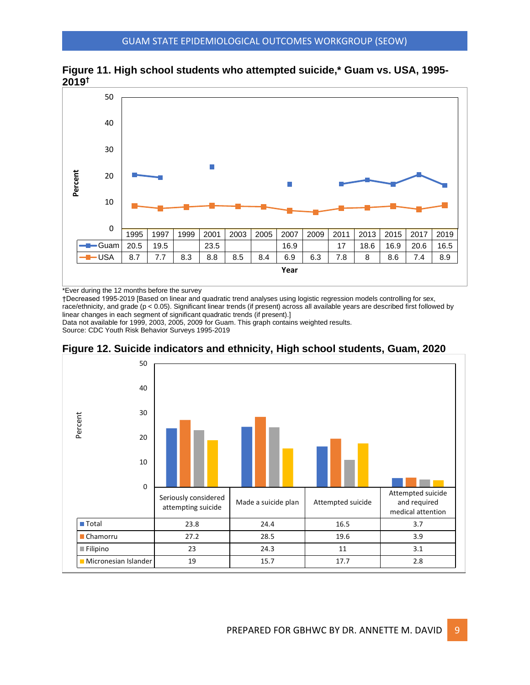



\*Ever during the 12 months before the survey

†Decreased 1995-2019 [Based on linear and quadratic trend analyses using logistic regression models controlling for sex, race/ethnicity, and grade (p < 0.05). Significant linear trends (if present) across all available years are described first followed by linear changes in each segment of significant quadratic trends (if present).]

Data not available for 1999, 2003, 2005, 2009 for Guam. This graph contains weighted results. Source: CDC Youth Risk Behavior Surveys 1995-2019



**Figure 12. Suicide indicators and ethnicity, High school students, Guam, 2020**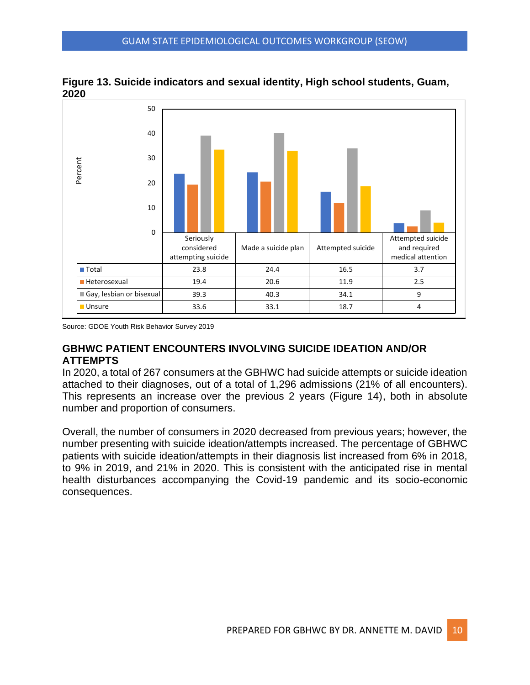

**Figure 13. Suicide indicators and sexual identity, High school students, Guam, 2020**

Source: GDOE Youth Risk Behavior Survey 2019

# **GBHWC PATIENT ENCOUNTERS INVOLVING SUICIDE IDEATION AND/OR ATTEMPTS**

In 2020, a total of 267 consumers at the GBHWC had suicide attempts or suicide ideation attached to their diagnoses, out of a total of 1,296 admissions (21% of all encounters). This represents an increase over the previous 2 years (Figure 14), both in absolute number and proportion of consumers.

Overall, the number of consumers in 2020 decreased from previous years; however, the number presenting with suicide ideation/attempts increased. The percentage of GBHWC patients with suicide ideation/attempts in their diagnosis list increased from 6% in 2018, to 9% in 2019, and 21% in 2020. This is consistent with the anticipated rise in mental health disturbances accompanying the Covid-19 pandemic and its socio-economic consequences.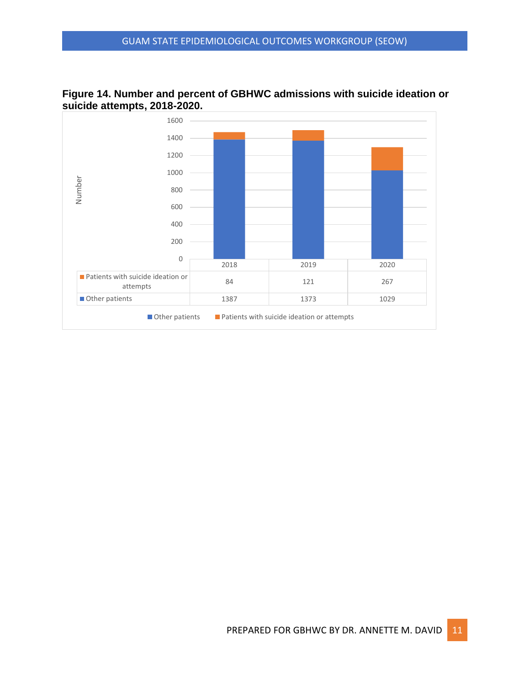

**Figure 14. Number and percent of GBHWC admissions with suicide ideation or suicide attempts, 2018-2020.**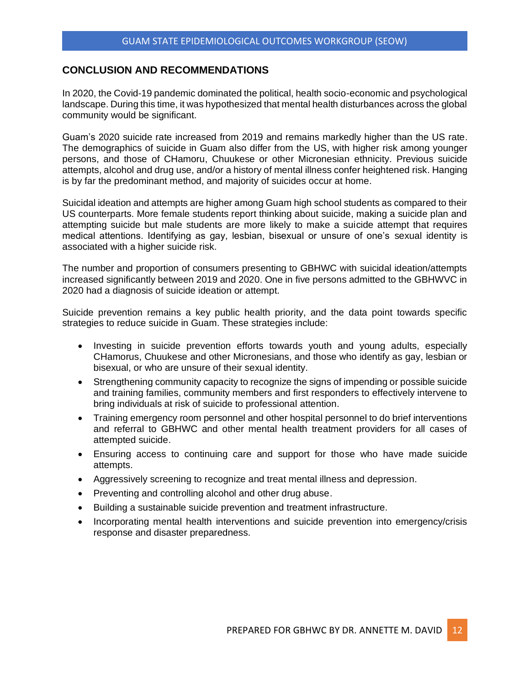# **CONCLUSION AND RECOMMENDATIONS**

In 2020, the Covid-19 pandemic dominated the political, health socio-economic and psychological landscape. During this time, it was hypothesized that mental health disturbances across the global community would be significant.

Guam's 2020 suicide rate increased from 2019 and remains markedly higher than the US rate. The demographics of suicide in Guam also differ from the US, with higher risk among younger persons, and those of CHamoru, Chuukese or other Micronesian ethnicity. Previous suicide attempts, alcohol and drug use, and/or a history of mental illness confer heightened risk. Hanging is by far the predominant method, and majority of suicides occur at home.

Suicidal ideation and attempts are higher among Guam high school students as compared to their US counterparts. More female students report thinking about suicide, making a suicide plan and attempting suicide but male students are more likely to make a suicide attempt that requires medical attentions. Identifying as gay, lesbian, bisexual or unsure of one's sexual identity is associated with a higher suicide risk.

The number and proportion of consumers presenting to GBHWC with suicidal ideation/attempts increased significantly between 2019 and 2020. One in five persons admitted to the GBHWVC in 2020 had a diagnosis of suicide ideation or attempt.

Suicide prevention remains a key public health priority, and the data point towards specific strategies to reduce suicide in Guam. These strategies include:

- Investing in suicide prevention efforts towards youth and young adults, especially CHamorus, Chuukese and other Micronesians, and those who identify as gay, lesbian or bisexual, or who are unsure of their sexual identity.
- Strengthening community capacity to recognize the signs of impending or possible suicide and training families, community members and first responders to effectively intervene to bring individuals at risk of suicide to professional attention.
- Training emergency room personnel and other hospital personnel to do brief interventions and referral to GBHWC and other mental health treatment providers for all cases of attempted suicide.
- Ensuring access to continuing care and support for those who have made suicide attempts.
- Aggressively screening to recognize and treat mental illness and depression.
- Preventing and controlling alcohol and other drug abuse.
- Building a sustainable suicide prevention and treatment infrastructure.
- Incorporating mental health interventions and suicide prevention into emergency/crisis response and disaster preparedness.